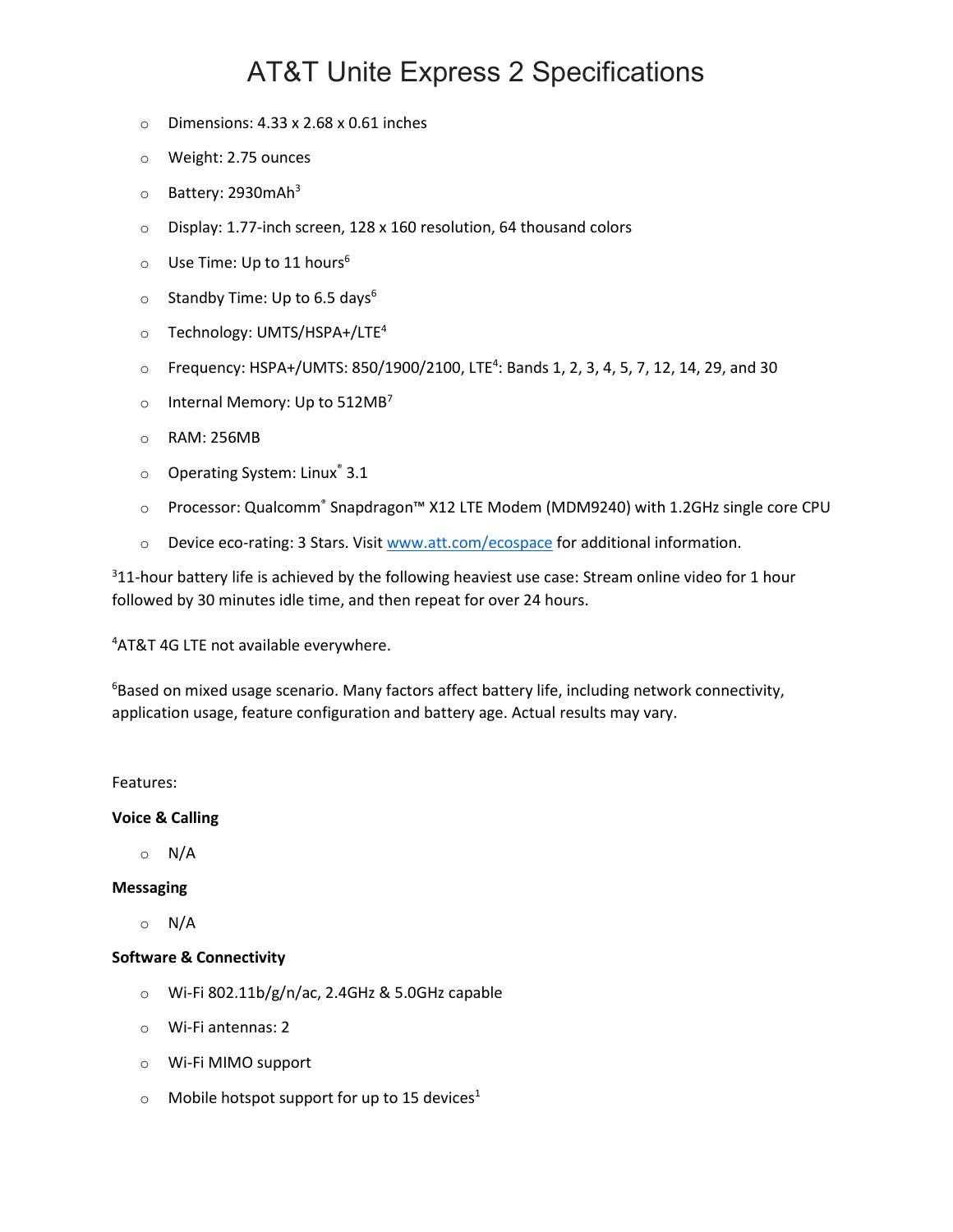# AT&T Unite Express 2 Specifications

- $\circ$  Dimensions: 4.33 x 2.68 x 0.61 inches
- o Weight: 2.75 ounces
- $\circ$  Battery: 2930 mAh<sup>3</sup>
- o Display: 1.77-inch screen, 128 x 160 resolution, 64 thousand colors
- $\circ$  Use Time: Up to 11 hours<sup>6</sup>
- $\circ$  Standby Time: Up to 6.5 days<sup>6</sup>
- o Technology: UMTS/HSPA+/LTE4
- $\circ$  Frequency: HSPA+/UMTS: 850/1900/2100, LTE<sup>4</sup>: Bands 1, 2, 3, 4, 5, 7, 12, 14, 29, and 30
- $\circ$  Internal Memory: Up to 512MB<sup>7</sup>
- o RAM: 256MB
- $\circ$  Operating System: Linux<sup>®</sup> 3.1
- o Processor: Qualcomm® Snapdragon™ X12 LTE Modem (MDM9240) with 1.2GHz single core CPU
- o Device eco-rating: 3 Stars. Visit [www.att.com/ecospace](http://www.att.com/ecospace) for additional information.

 $311$ -hour battery life is achieved by the following heaviest use case: Stream online video for 1 hour followed by 30 minutes idle time, and then repeat for over 24 hours.

4 AT&T 4G LTE not available everywhere.

<sup>6</sup>Based on mixed usage scenario. Many factors affect battery life, including network connectivity, application usage, feature configuration and battery age. Actual results may vary.

Features:

#### **Voice & Calling**

o N/A

### **Messaging**

o N/A

### **Software & Connectivity**

- o Wi-Fi 802.11b/g/n/ac, 2.4GHz & 5.0GHz capable
- o Wi-Fi antennas: 2
- o Wi-Fi MIMO support
- $\circ$  Mobile hotspot support for up to 15 devices<sup>1</sup>